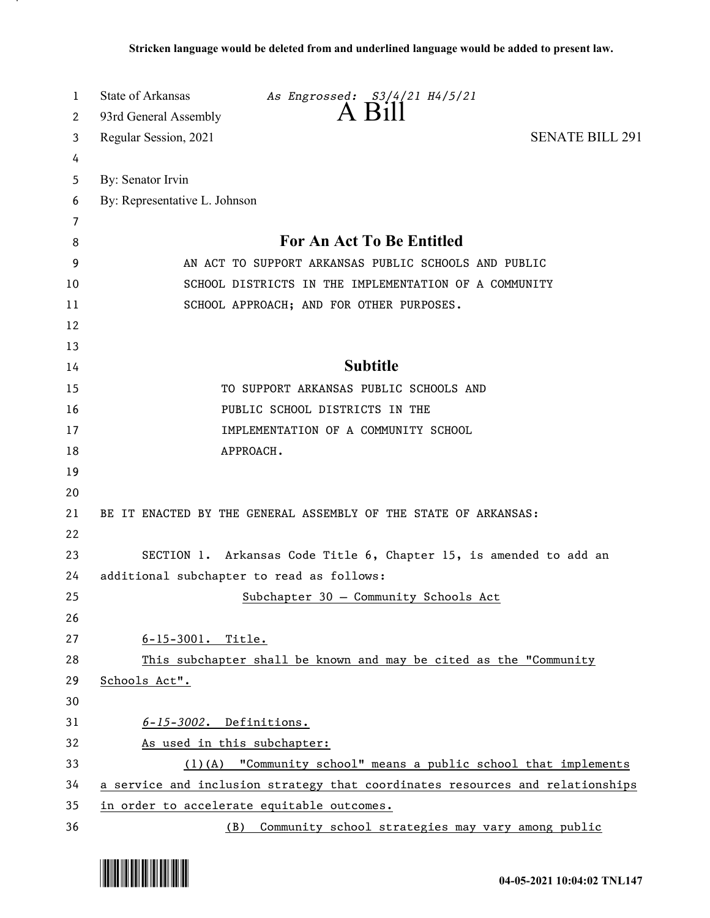| 1        | State of Arkansas<br>As Engrossed: S3/4/21 H4/5/21<br>$A$ Bill                                                                                      |
|----------|-----------------------------------------------------------------------------------------------------------------------------------------------------|
| 2        | 93rd General Assembly<br><b>SENATE BILL 291</b>                                                                                                     |
| 3        | Regular Session, 2021                                                                                                                               |
| 4<br>5   | By: Senator Irvin                                                                                                                                   |
| 6        | By: Representative L. Johnson                                                                                                                       |
| 7        |                                                                                                                                                     |
| 8        | <b>For An Act To Be Entitled</b>                                                                                                                    |
| 9        | AN ACT TO SUPPORT ARKANSAS PUBLIC SCHOOLS AND PUBLIC                                                                                                |
| 10       | SCHOOL DISTRICTS IN THE IMPLEMENTATION OF A COMMUNITY                                                                                               |
| 11       | SCHOOL APPROACH; AND FOR OTHER PURPOSES.                                                                                                            |
| 12       |                                                                                                                                                     |
| 13       |                                                                                                                                                     |
| 14       | <b>Subtitle</b>                                                                                                                                     |
| 15       | TO SUPPORT ARKANSAS PUBLIC SCHOOLS AND                                                                                                              |
| 16       | PUBLIC SCHOOL DISTRICTS IN THE                                                                                                                      |
| 17       | IMPLEMENTATION OF A COMMUNITY SCHOOL                                                                                                                |
| 18       | APPROACH.                                                                                                                                           |
| 19       |                                                                                                                                                     |
| 20       |                                                                                                                                                     |
| 21       | BE IT ENACTED BY THE GENERAL ASSEMBLY OF THE STATE OF ARKANSAS:                                                                                     |
| 22       |                                                                                                                                                     |
| 23       | SECTION 1. Arkansas Code Title 6, Chapter 15, is amended to add an                                                                                  |
| 24       | additional subchapter to read as follows:                                                                                                           |
| 25       | Subchapter 30 - Community Schools Act                                                                                                               |
| 26       |                                                                                                                                                     |
| 27       | $6 - 15 - 3001$ . Title.                                                                                                                            |
| 28       | This subchapter shall be known and may be cited as the "Community                                                                                   |
| 29       | Schools Act".                                                                                                                                       |
| 30       |                                                                                                                                                     |
| 31       | $6 - 15 - 3002$ . Definitions.                                                                                                                      |
| 32       | As used in this subchapter:                                                                                                                         |
| 33<br>34 | $(1)$ (A) "Community school" means a public school that implements<br>a service and inclusion strategy that coordinates resources and relationships |
| 35       | in order to accelerate equitable outcomes.                                                                                                          |
| 36       | Community school strategies may vary among public<br>(B)                                                                                            |

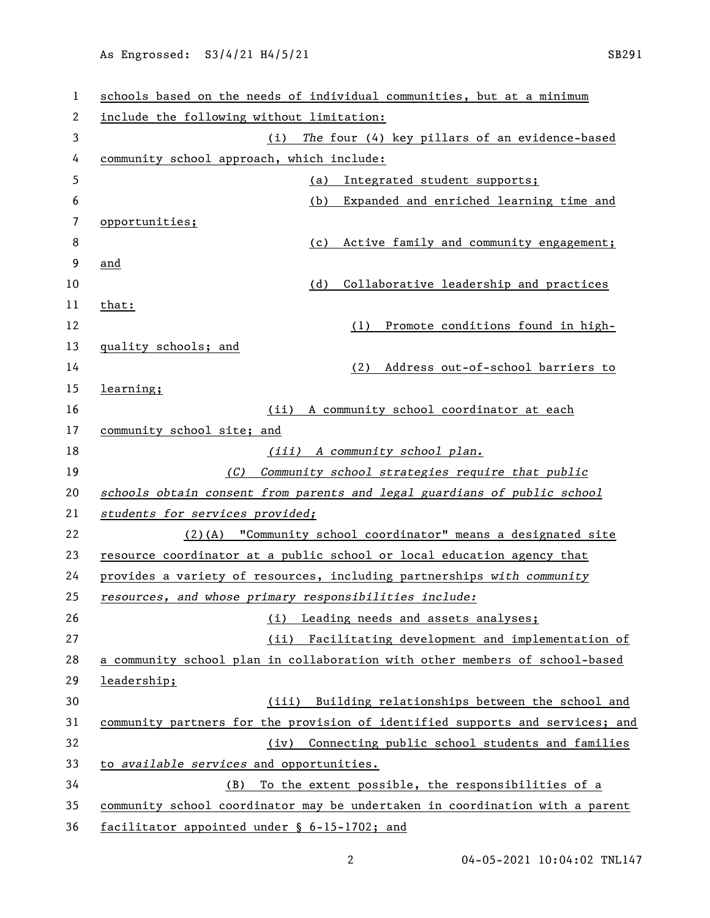| 1  | schools based on the needs of individual communities, but at a minimum        |
|----|-------------------------------------------------------------------------------|
| 2  | include the following without limitation:                                     |
| 3  | (i) The four (4) key pillars of an evidence-based                             |
| 4  | community school approach, which include:                                     |
| 5  | Integrated student supports;<br>(a)                                           |
| 6  | (b)<br>Expanded and enriched learning time and                                |
| 7  | opportunities;                                                                |
| 8  | Active family and community engagement;<br>(c)                                |
| 9  | and                                                                           |
| 10 | (d)<br>Collaborative leadership and practices                                 |
| 11 | that:                                                                         |
| 12 | Promote conditions found in high-<br>(1)                                      |
| 13 | quality schools; and                                                          |
| 14 | Address out-of-school barriers to<br>(2)                                      |
| 15 | learning;                                                                     |
| 16 | (ii) A community school coordinator at each                                   |
| 17 | community school site; and                                                    |
| 18 | (iii) A community school plan.                                                |
| 19 | (C) Community school strategies require that public                           |
| 20 | schools obtain consent from parents and legal guardians of public school      |
| 21 | students for services provided;                                               |
| 22 | $(2)$ (A) "Community school coordinator" means a designated site              |
| 23 | resource coordinator at a public school or local education agency that        |
| 24 | provides a variety of resources, including partnerships with community        |
| 25 | resources, and whose primary responsibilities include:                        |
| 26 | (i) Leading needs and assets analyses;                                        |
| 27 | Facilitating development and implementation of<br>(ii)                        |
| 28 | a community school plan in collaboration with other members of school-based   |
| 29 | leadership;                                                                   |
| 30 | (iii) Building relationships between the school and                           |
| 31 | community partners for the provision of identified supports and services; and |
| 32 | (iv) Connecting public school students and families                           |
| 33 | to available services and opportunities.                                      |
| 34 | To the extent possible, the responsibilities of a<br>(B)                      |
| 35 | community school coordinator may be undertaken in coordination with a parent  |
| 36 | facilitator appointed under § 6-15-1702; and                                  |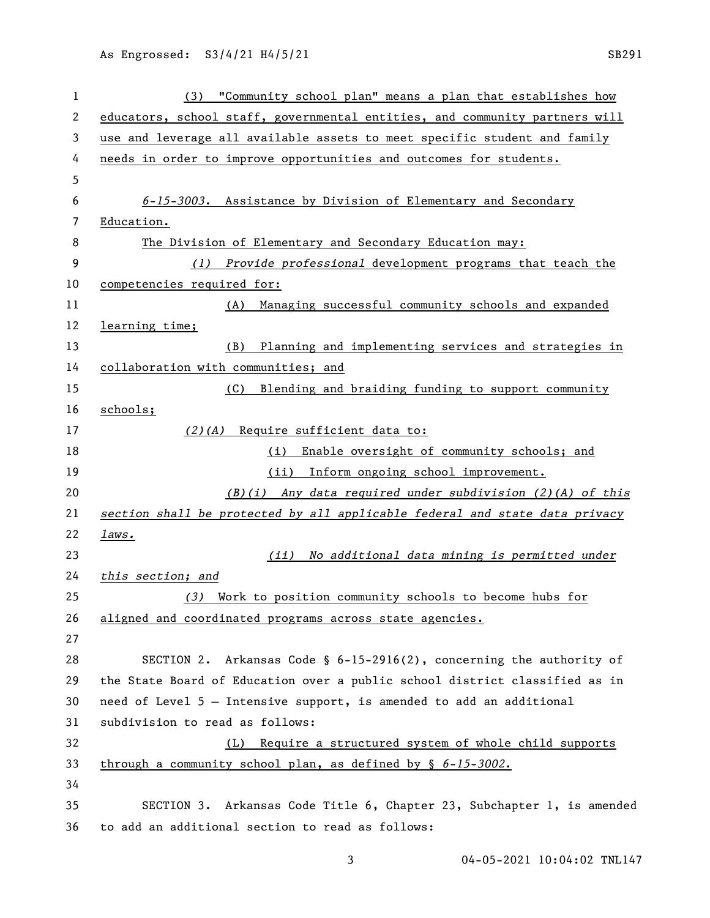| 1  | (3) "Community school plan" means a plan that establishes how               |
|----|-----------------------------------------------------------------------------|
| 2  | educators, school staff, governmental entities, and community partners will |
| 3  | use and leverage all available assets to meet specific student and family   |
| 4  | needs in order to improve opportunities and outcomes for students.          |
| 5  |                                                                             |
| 6  | 6-15-3003. Assistance by Division of Elementary and Secondary               |
| 7  | Education.                                                                  |
| 8  | The Division of Elementary and Secondary Education may:                     |
| 9  | (1) Provide professional development programs that teach the                |
| 10 | competencies required for:                                                  |
| 11 | (A) Managing successful community schools and expanded                      |
| 12 | learning time;                                                              |
| 13 | (B)<br>Planning and implementing services and strategies in                 |
| 14 | collaboration with communities; and                                         |
| 15 | Blending and braiding funding to support community<br>(C)                   |
| 16 | schools;                                                                    |
| 17 | (2)(A) Require sufficient data to:                                          |
| 18 | Enable oversight of community schools; and<br>(i)                           |
| 19 | (ii)<br>Inform ongoing school improvement.                                  |
| 20 | $(B)(i)$ Any data required under subdivision (2)(A) of this                 |
| 21 | section shall be protected by all applicable federal and state data privacy |
| 22 | laws.                                                                       |
| 23 | No additional data mining is permitted under<br>(ii)                        |
| 24 | this section; and                                                           |
| 25 | Work to position community schools to become hubs for<br>(3)                |
| 26 | aligned and coordinated programs across state agencies.                     |
| 27 |                                                                             |
| 28 | SECTION 2. Arkansas Code § $6-15-2916(2)$ , concerning the authority of     |
| 29 | the State Board of Education over a public school district classified as in |
| 30 | need of Level 5 - Intensive support, is amended to add an additional        |
| 31 | subdivision to read as follows:                                             |
| 32 | (L) Require a structured system of whole child supports                     |
| 33 | through a community school plan, as defined by § 6-15-3002.                 |
| 34 |                                                                             |
| 35 | SECTION 3. Arkansas Code Title 6, Chapter 23, Subchapter 1, is amended      |
| 36 | to add an additional section to read as follows:                            |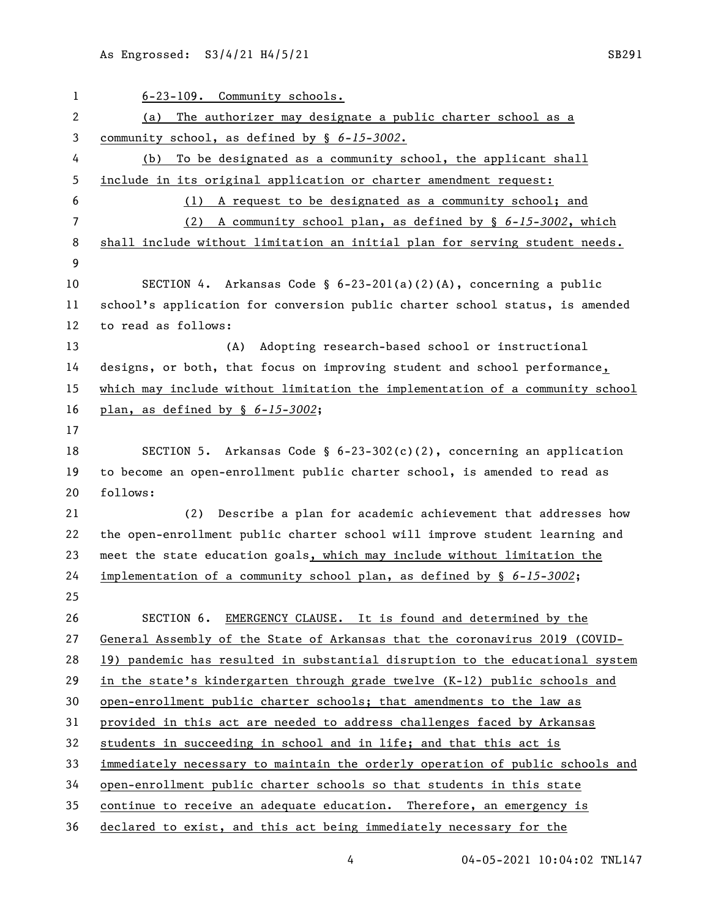6-23-109. Community schools. (a) The authorizer may designate a public charter school as a community school, as defined by § *6-15-3002*. (b) To be designated as a community school, the applicant shall include in its original application or charter amendment request: (1) A request to be designated as a community school; and (2) A community school plan, as defined by § *6-15-3002*, which shall include without limitation an initial plan for serving student needs. SECTION 4. Arkansas Code § 6-23-201(a)(2)(A), concerning a public school's application for conversion public charter school status, is amended to read as follows: (A) Adopting research-based school or instructional designs, or both, that focus on improving student and school performance, which may include without limitation the implementation of a community school plan, as defined by § *6-15-3002*; SECTION 5. Arkansas Code § 6-23-302(c)(2), concerning an application to become an open-enrollment public charter school, is amended to read as follows: (2) Describe a plan for academic achievement that addresses how the open-enrollment public charter school will improve student learning and meet the state education goals, which may include without limitation the implementation of a community school plan, as defined by § *6-15-3002*; SECTION 6. EMERGENCY CLAUSE. It is found and determined by the General Assembly of the State of Arkansas that the coronavirus 2019 (COVID- 19) pandemic has resulted in substantial disruption to the educational system in the state's kindergarten through grade twelve (K-12) public schools and open-enrollment public charter schools; that amendments to the law as provided in this act are needed to address challenges faced by Arkansas students in succeeding in school and in life; and that this act is immediately necessary to maintain the orderly operation of public schools and open-enrollment public charter schools so that students in this state continue to receive an adequate education. Therefore, an emergency is declared to exist, and this act being immediately necessary for the

04-05-2021 10:04:02 TNL147